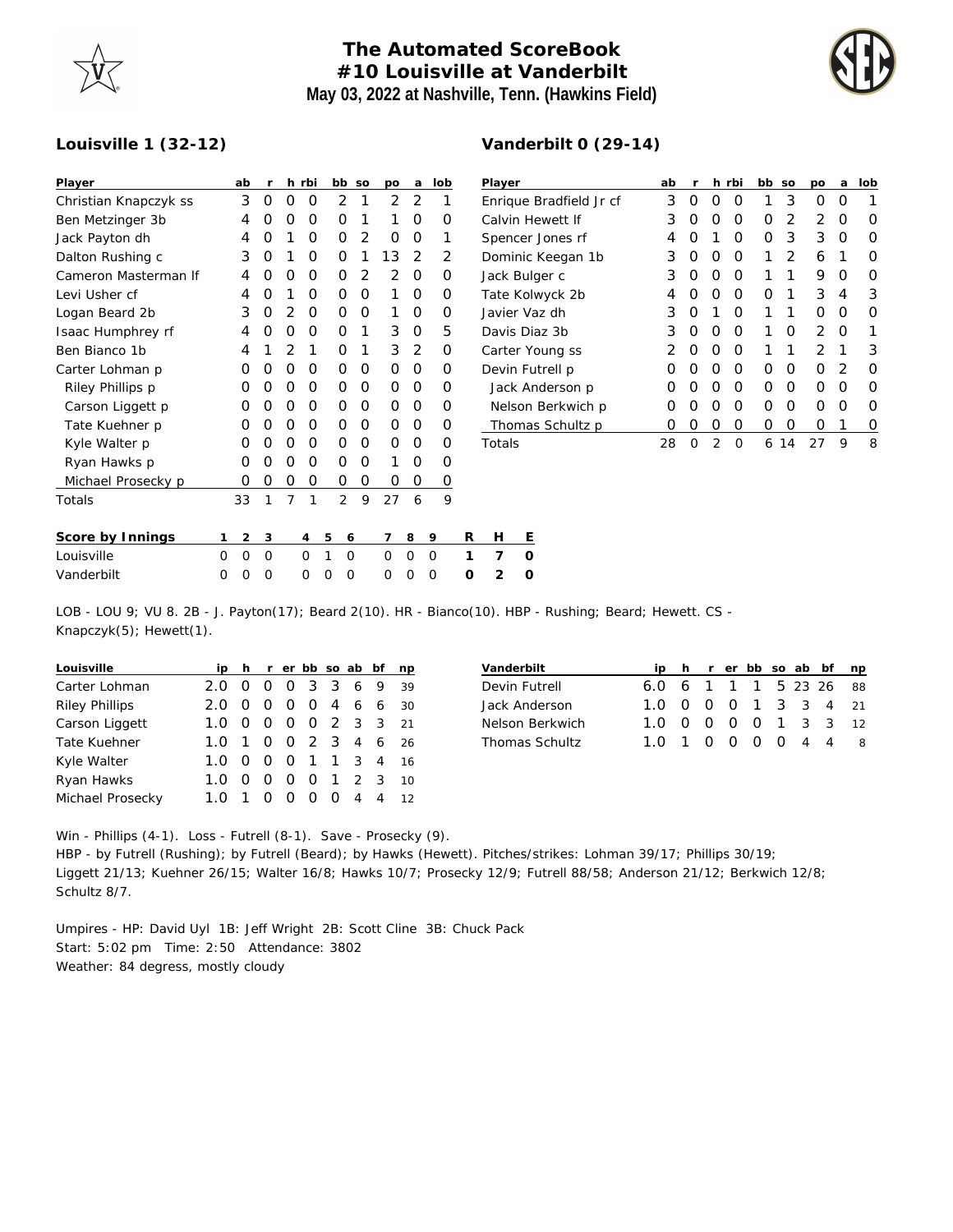## **The Automated ScoreBook #10 Louisville at Vanderbilt May 03, 2022 at Nashville, Tenn. (Hawkins Field)**

**Vanderbilt 0 (29-14)**



## **Louisville 1 (32-12)**

| Player                |          | ab       | r        |                | h rbi  |        | bb             | <b>SO</b>      | po            | a              | lob    |         | Player    |         |  |  |
|-----------------------|----------|----------|----------|----------------|--------|--------|----------------|----------------|---------------|----------------|--------|---------|-----------|---------|--|--|
| Christian Knapczyk ss |          | 3        | O        | 0              | O      |        | $\overline{2}$ | 1              | $\mathcal{P}$ | 2              | 1      | Enrique |           |         |  |  |
| Ben Metzinger 3b      |          | 4        | Ω        | O              | O      |        | O              | 1              | 1             | O              | O      |         | Calvin H  |         |  |  |
| Jack Payton dh        |          | 4        | Ο        | 1              | Ο      |        | Ο              | $\overline{2}$ | Ο             | Ο              | 1      |         | Spencer   |         |  |  |
| Dalton Rushing c      |          | 3        | Ω        | 1              | O      |        | Ο              | 1              | 13            | 2              | 2      |         | Dominic   |         |  |  |
| Cameron Masterman If  |          | 4        | Ω        | O              | Ο      |        | Ο              | 2              | 2             | O              | Ο      |         | Jack Bul  |         |  |  |
| Levi Usher cf         |          | 4        | Ω        | 1              | O      |        | Ο              | O              | 1             | O              | O      |         | Tate Kol  |         |  |  |
| Logan Beard 2b        |          | 3        | O        | 2              | O      |        | Ο              | O              | 1             | O              | Ο      |         | Javier Va |         |  |  |
| Isaac Humphrey rf     |          | 4        | Ω        | O              | O      |        | Ο              | 1              | 3             | O              | 5      |         | Davis Di  |         |  |  |
| Ben Bianco 1b         |          | 4        | 1        | 2              | 1      |        | Ο              | 1              | 3             | $\overline{2}$ | O      |         | Carter Y  |         |  |  |
| Carter Lohman p       |          | O        | Ω        | O              | O      |        | Ο              | O              | O             | O              | Ω      |         | Devin Fu  |         |  |  |
| Riley Phillips p      |          | O        | Ο        | O              | 0      |        | Ο              | 0              | O             | O              | O      |         |           | Jack Ar |  |  |
| Carson Liggett p      |          | O        | Ω        | O              | O      |        | Ο              | O              | O             | O              | Ο      |         |           | Nelson  |  |  |
| Tate Kuehner p        |          | O        | Ω        | O              | O      |        | Ο              | O              | O             | O              | Ο      |         |           | Thoma   |  |  |
| Kyle Walter p         |          | O        | Ω        | 0              | 0      |        | Ο              | O              | O             | Ο              | O      |         | Totals    |         |  |  |
| Ryan Hawks p          |          | O        | Ο        | O              | O      |        | Ο              | O              | 1             | Ο              | Ο      |         |           |         |  |  |
| Michael Prosecky p    |          | 0        | Ο        | 0              | 0      |        | 0              | O              | Ο             | Ο              | 0      |         |           |         |  |  |
| Totals                |          | 33       | 1        | $\overline{7}$ | 1      |        | $\overline{2}$ | 9              | 27            | 6              | 9      |         |           |         |  |  |
| Score by Innings      | 1        | 2        | 3        |                | 4      | 5      | 6              |                | 7             | 8              | 9      | R       | Н         | Ε       |  |  |
| Louisville            | $\Omega$ | $\Omega$ | $\Omega$ |                | O      | 1      | $\Omega$       |                | $\Omega$      | O              | O      | 1       | 7         | Ω       |  |  |
| $1$ londorbilt        | $\cap$   | $\cap$   | $\cap$   |                | $\cap$ | $\cap$ | $\cap$         |                | $\cap$        | $\cap$         | $\cap$ | $\cap$  | ⌒         |         |  |  |

| Player                  | ab               | r |                  | h rbi | bb | <b>SO</b> | po            | a        | lob |
|-------------------------|------------------|---|------------------|-------|----|-----------|---------------|----------|-----|
| Enrique Bradfield Jr cf | 3                | Ω | $\left( \right)$ | Ω     | 1  | 3         | Ω             | Ω        |     |
| Calvin Hewett If        | 3                | Ω | Ω                | O     | Ο  | 2         | 2             | O        | O   |
| Spencer Jones rf        | 4                | Ω | 1                | Ω     | Ο  | 3         | 3             | O        | O   |
| Dominic Keegan 1b       | 3                | O | Ω                | O     | 1  | 2         | 6             | 1        | O   |
| Jack Bulger c           | 3                | O | O                | O     | 1  | 1         | 9             | O        | Ω   |
| Tate Kolwyck 2b         | 4                | Ω | Ω                | Ω     | Ω  | 1         | 3             | 4        | 3   |
| Javier Vaz dh           | 3                | O | 1                | Ω     | 1  | 1         | Ω             | O        | Ω   |
| Davis Diaz 3b           | 3                | O | O                | Ω     | 1  | Ω         | $\mathcal{P}$ | $\Omega$ | 1   |
| Carter Young ss         | 2                | O | O                | O     | 1  | 1         | 2             | 1        | 3   |
| Devin Futrell p         | $\left( \right)$ | Ω | O                | O     | Ω  | Ω         | O             | 2        | O   |
| Jack Anderson p         | $\left( \right)$ | O | O                | O     | Ο  | 0         | O             | 0        | O   |
| Nelson Berkwich p       | $\left( \right)$ | Ω | Ο                | Ω     | Ω  | Ω         | Ω             | O        | O   |
| Thomas Schultz p        | Ω                | Ω | O                | Ω     | Ω  | Ω         | Ω             | 1        | Ο   |
| Totals                  | 28               | O | 2                | Ω     | 6  | 14        | 27            | 9        | 8   |

| Louisville |  | 000 010 000 1 7 0 |  |  |  |  |  |
|------------|--|-------------------|--|--|--|--|--|
| Vanderbilt |  | 000 000 000 0 2 0 |  |  |  |  |  |
|            |  |                   |  |  |  |  |  |

LOB - LOU 9; VU 8. 2B - J. Payton(17); Beard 2(10). HR - Bianco(10). HBP - Rushing; Beard; Hewett. CS - Knapczyk(5); Hewett(1).

| Louisville            |     |                |                  |          |          |                  |             | ip h r er bb so ab bf | np |
|-----------------------|-----|----------------|------------------|----------|----------|------------------|-------------|-----------------------|----|
| Carter Lohman         | 2.0 |                | O                | $\Omega$ | 3 3 6    |                  |             | - 9                   | 39 |
| <b>Riley Phillips</b> | 2.0 |                | O                | $\Omega$ | - റ      |                  | 4 6 6       |                       | 30 |
| Carson Liggett        | 1.0 |                | O                | $\Omega$ | - റ      |                  |             | 2 3 3                 | 21 |
| <b>Tate Kuehner</b>   | 1.0 | $\overline{1}$ | $\Omega$         |          |          |                  | 0 2 3 4 6   |                       | 26 |
| Kyle Walter           | 1.0 |                | O                | $\Omega$ |          |                  |             | 1 1 3 4 16            |    |
| Ryan Hawks            | 1.0 |                | Ω                | 0        | $\Omega$ |                  | $1 \t2 \t3$ |                       | 10 |
| Michael Prosecky      |     |                | $\left( \right)$ | O        | O        | $\left( \right)$ | 4           | $\overline{4}$        | 12 |

| Vanderbilt            |                        |  |  |  | ip h r er bb so ab bf np |
|-----------------------|------------------------|--|--|--|--------------------------|
| Devin Futrell         | 6.0 6 1 1 1 5 23 26 88 |  |  |  |                          |
| Jack Anderson         | 1.0 0 0 0 1 3 3 4 21   |  |  |  |                          |
| Nelson Berkwich       | 1.0 0 0 0 0 1 3 3 12   |  |  |  |                          |
| <b>Thomas Schultz</b> |                        |  |  |  |                          |

Win - Phillips (4-1). Loss - Futrell (8-1). Save - Prosecky (9). HBP - by Futrell (Rushing); by Futrell (Beard); by Hawks (Hewett). Pitches/strikes: Lohman 39/17; Phillips 30/19; Liggett 21/13; Kuehner 26/15; Walter 16/8; Hawks 10/7; Prosecky 12/9; Futrell 88/58; Anderson 21/12; Berkwich 12/8; Schultz 8/7.

Umpires - HP: David Uyl 1B: Jeff Wright 2B: Scott Cline 3B: Chuck Pack Start: 5:02 pm Time: 2:50 Attendance: 3802 Weather: 84 degress, mostly cloudy